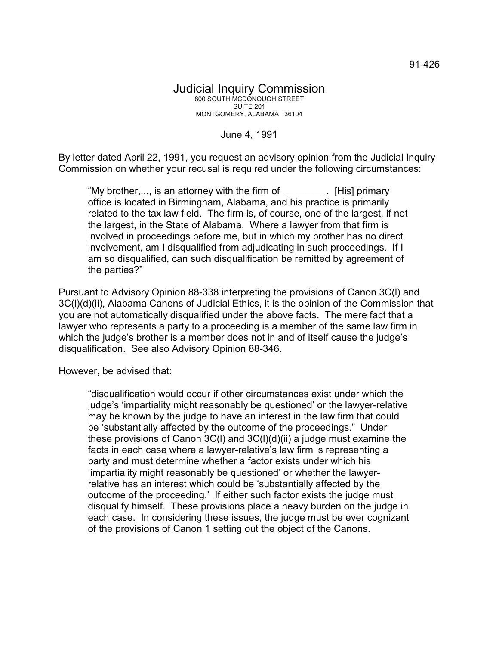June 4, 1991

By letter dated April 22, 1991, you request an advisory opinion from the Judicial Inquiry Commission on whether your recusal is required under the following circumstances:

"My brother,..., is an attorney with the firm of \_\_\_\_\_\_\_\_. [His] primary office is located in Birmingham, Alabama, and his practice is primarily related to the tax law field. The firm is, of course, one of the largest, if not the largest, in the State of Alabama. Where a lawyer from that firm is involved in proceedings before me, but in which my brother has no direct involvement, am I disqualified from adjudicating in such proceedings. If I am so disqualified, can such disqualification be remitted by agreement of the parties?"

Pursuant to Advisory Opinion 88-338 interpreting the provisions of Canon 3C(l) and 3C(l)(d)(ii), Alabama Canons of Judicial Ethics, it is the opinion of the Commission that you are not automatically disqualified under the above facts. The mere fact that a lawyer who represents a party to a proceeding is a member of the same law firm in which the judge's brother is a member does not in and of itself cause the judge's disqualification. See also Advisory Opinion 88-346.

However, be advised that:

"disqualification would occur if other circumstances exist under which the judge's 'impartiality might reasonably be questioned' or the lawyer-relative may be known by the judge to have an interest in the law firm that could be 'substantially affected by the outcome of the proceedings." Under these provisions of Canon 3C(l) and 3C(l)(d)(ii) a judge must examine the facts in each case where a lawyer-relative's law firm is representing a party and must determine whether a factor exists under which his 'impartiality might reasonably be questioned' or whether the lawyerrelative has an interest which could be 'substantially affected by the outcome of the proceeding.' If either such factor exists the judge must disqualify himself. These provisions place a heavy burden on the judge in each case. In considering these issues, the judge must be ever cognizant of the provisions of Canon 1 setting out the object of the Canons.